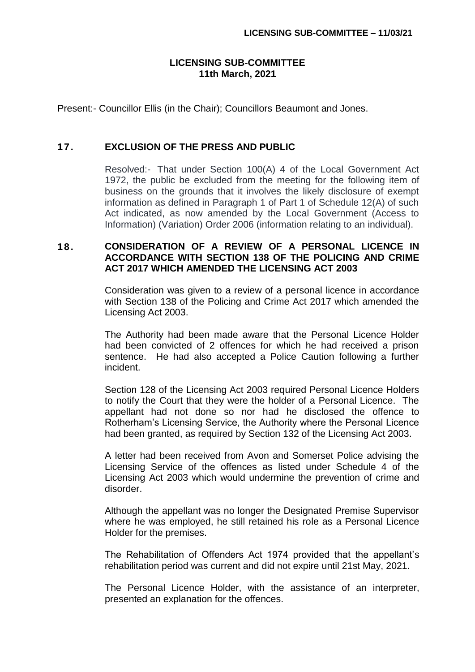## **LICENSING SUB-COMMITTEE 11th March, 2021**

Present:- Councillor Ellis (in the Chair); Councillors Beaumont and Jones.

## **17. EXCLUSION OF THE PRESS AND PUBLIC**

Resolved:- That under Section 100(A) 4 of the Local Government Act 1972, the public be excluded from the meeting for the following item of business on the grounds that it involves the likely disclosure of exempt information as defined in Paragraph 1 of Part 1 of Schedule 12(A) of such Act indicated, as now amended by the Local Government (Access to Information) (Variation) Order 2006 (information relating to an individual).

## **18. CONSIDERATION OF A REVIEW OF A PERSONAL LICENCE IN ACCORDANCE WITH SECTION 138 OF THE POLICING AND CRIME ACT 2017 WHICH AMENDED THE LICENSING ACT 2003**

Consideration was given to a review of a personal licence in accordance with Section 138 of the Policing and Crime Act 2017 which amended the Licensing Act 2003.

The Authority had been made aware that the Personal Licence Holder had been convicted of 2 offences for which he had received a prison sentence. He had also accepted a Police Caution following a further incident.

Section 128 of the Licensing Act 2003 required Personal Licence Holders to notify the Court that they were the holder of a Personal Licence. The appellant had not done so nor had he disclosed the offence to Rotherham's Licensing Service, the Authority where the Personal Licence had been granted, as required by Section 132 of the Licensing Act 2003.

A letter had been received from Avon and Somerset Police advising the Licensing Service of the offences as listed under Schedule 4 of the Licensing Act 2003 which would undermine the prevention of crime and disorder.

Although the appellant was no longer the Designated Premise Supervisor where he was employed, he still retained his role as a Personal Licence Holder for the premises.

The Rehabilitation of Offenders Act 1974 provided that the appellant's rehabilitation period was current and did not expire until 21st May, 2021.

The Personal Licence Holder, with the assistance of an interpreter, presented an explanation for the offences.